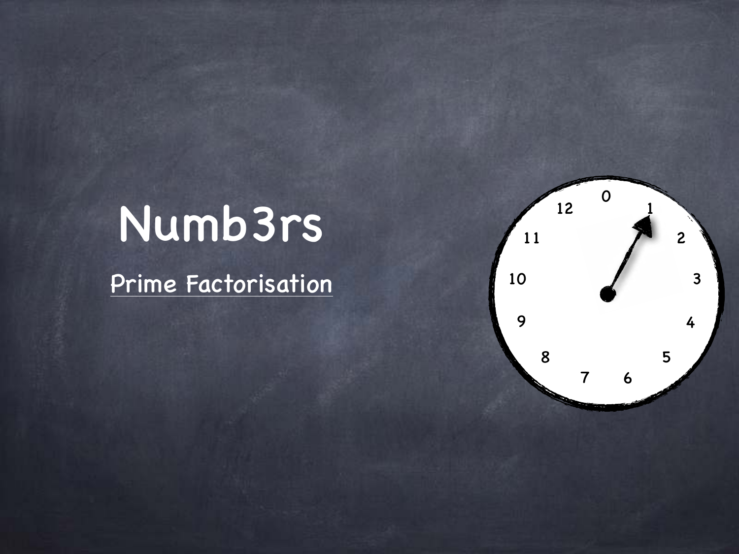# Numb3rs

Prime Factorisation

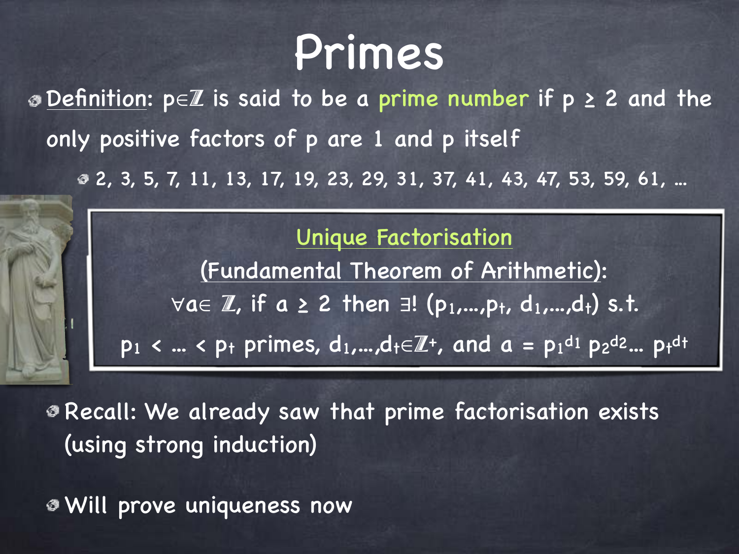# Primes

2, 3, 5, 7, 11, 13, 17, 19, 23, 29, 31, 37, 41, 43, 47, 53, 59, 61, ... Definition: p∈Z is said to be a prime number if p ≥ 2 and the only positive factors of p are 1 and p itself

> Unique Factorisation (Fundamental Theorem of Arithmetic):  $\forall a \in \mathbb{Z}$ , if  $a \geq 2$  then  $\exists ! \ (p_1,...,p_t, d_1,...,d_t)$  s.t.  $p_1 < ... < p_t$  primes,  $d_1,...,d_t \in \mathbb{Z}^+$ , and  $a = p_1^{d_1} p_2^{d_2} ... p_t^{d_t}$

Recall: We already saw that prime factorisation exists (using strong induction)

Will prove uniqueness now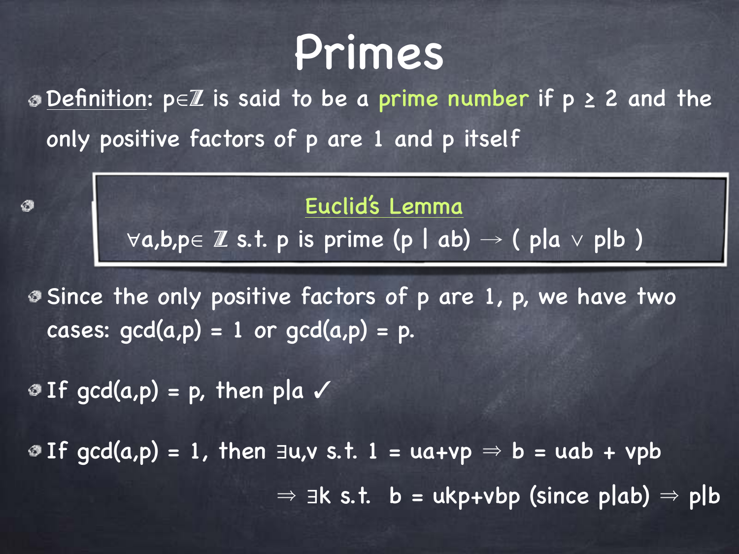# Primes

Definition: p∈Z is said to be a prime number if p ≥ 2 and the only positive factors of p are 1 and p itself

> Euclid's Lemma ∀a,b,p∈ Z s.t. p is prime (p | ab) → ( p|a ∨ p|b )

Since the only positive factors of p are 1, p, we have two cases:  $gcd(a,p) = 1$  or  $gcd(a,p) = p$ .

 $I$  If gcd(a,p) = p, then pla  $\checkmark$ 

Ø

 $\textcircled{1}$  Tf gcd(a,p) = 1, then ∃u,v s.t. 1 = ua+vp  $\Rightarrow$  b = uab + vpb  $\Rightarrow$   $\exists$ k s.t. b = ukp+vbp (since p|ab)  $\Rightarrow$  p|b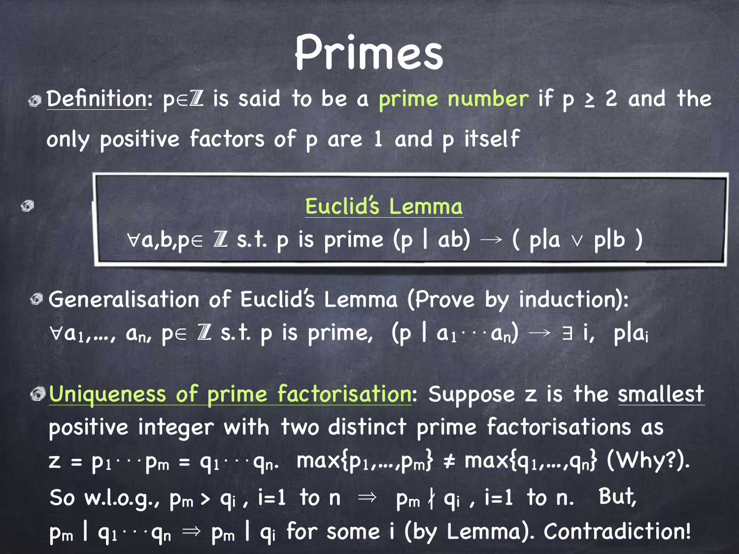# Primes

Definition: p∈Z is said to be a prime number if p ≥ 2 and the only positive factors of p are 1 and p itself

> Euclid's Lemma ∀a,b,p∈ Z s.t. p is prime (p | ab) → ( p|a ∨ p|b )

Generalisation of Euclid's Lemma (Prove by induction):  $\forall a_1,..., a_n$ ,  $p \in \mathbb{Z}$  s.t. p is prime,  $(p \mid a_1 \cdots a_n) \rightarrow \exists i$ , plai

∅

Uniqueness of prime factorisation: Suppose z is the smallest positive integer with two distinct prime factorisations as  $z = p_1 \cdots p_m = q_1 \cdots q_n$ . max{ $p_1,...,p_m$ }  $\neq$  max{ $q_1,...,q_n$ } (Why?). So w.l.o.g.,  $p_m > q_i$ , i=1 to  $n \Rightarrow p_m \nmid q_i$ , i=1 to n. But,  $p_m | q_1 \cdots q_n \Rightarrow p_m | q_i$  for some i (by Lemma). Contradiction!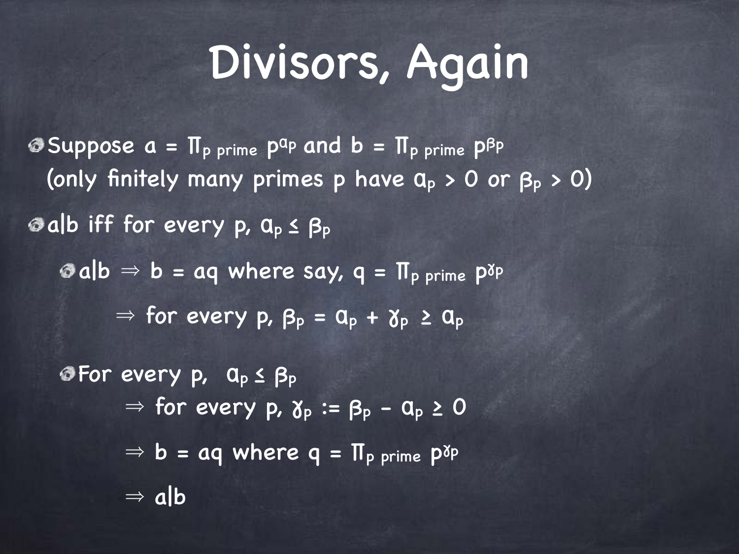# Divisors, Again

**Suppose**  $a = \Pi_p$  prime  $p^{ap}$  and  $b = \Pi_p$  prime  $p^{bp}$ (only finitely many primes p have  $a_p > 0$  or  $\beta_p > 0$ ) a|b iff for every p, αp ≤ β<sup>p</sup>  $a|b \Rightarrow b = aq$  where say,  $q = \Pi_p$  prime  $p^{\gamma_p}$  $\Rightarrow$  for every p,  $\beta_p = \alpha_p + \gamma_p \ge \alpha_p$ For every p, αp ≤ β<sup>p</sup>  $\Rightarrow$  for every p,  $\gamma_p := \beta_p - \alpha_p \geq 0$  $\Rightarrow$  b = aq where q =  $\Pi_{\text{p}}$  prime  $P^{\text{NP}}$  $\Rightarrow$  alb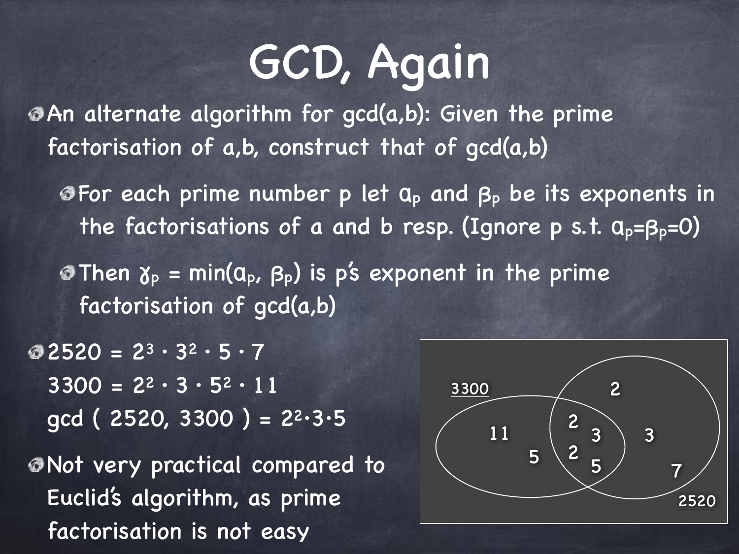# GCD, Again

An alternate algorithm for gcd(a,b): Given the prime factorisation of a,b, construct that of gcd(a,b)

**S**For each prime number p let  $a_p$  and  $a_p$  be its exponents in the factorisations of a and b resp. (Ignore p s.t.  $a_p = \beta_p = 0$ )

**Then**  $\gamma_p$  **= min(** $a_p$ **,**  $\beta_p$ **) is p's exponent in the prime** factorisation of gcd(a,b)

 $\textcircled{2}$  2520 = 2<sup>3</sup> · 3<sup>2</sup> · 5 · 7  $3300 = 2^2 \cdot 3 \cdot 5^2 \cdot 11$  $gcd ( 2520, 3300 ) = 2<sup>2</sup>·3·5$ 

Not very practical compared to Euclid's algorithm, as prime factorisation is not easy

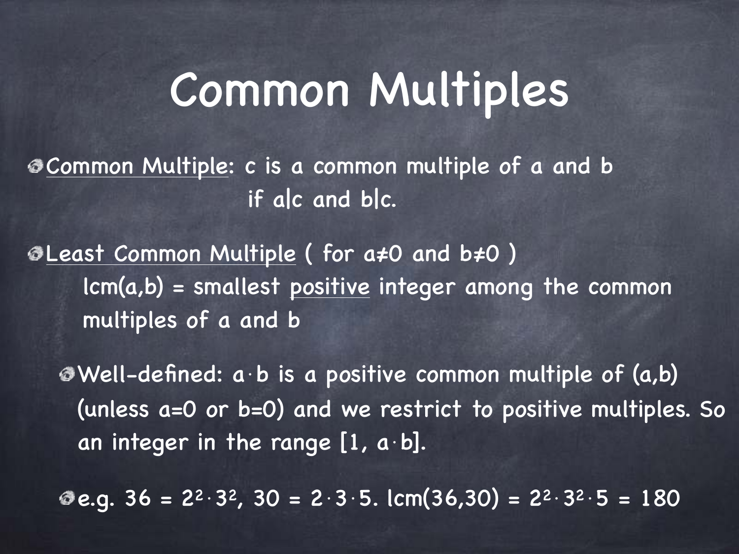#### Common Multiples

Common Multiple: c is a common multiple of a and b if a|c and b|c.

Least Common Multiple ( for a≠0 and b≠0 ) lcm(a,b) = smallest positive integer among the common multiples of a and b

Well-defined: a⋅b is a positive common multiple of (a,b) (unless a=0 or b=0) and we restrict to positive multiples. So an integer in the range  $[1, a \cdot b]$ .

**e.g.**  $36 = 2^2 \cdot 3^2$ ,  $30 = 2 \cdot 3 \cdot 5$ . lcm( $36,30$ ) =  $2^2 \cdot 3^2 \cdot 5 = 180$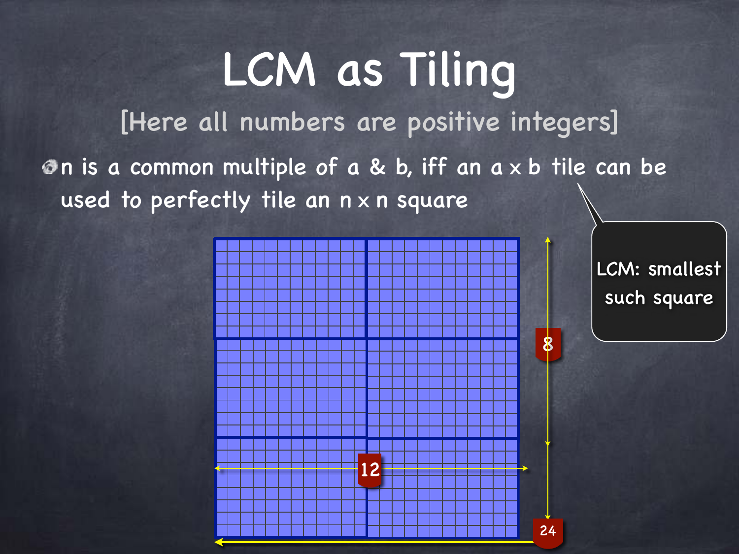#### LCM as Tiling [Here all numbers are positive integers] n is a common multiple of a & b, iff an a x b tile can be used to perfectly tile an n x n square



LCM: smallest such square